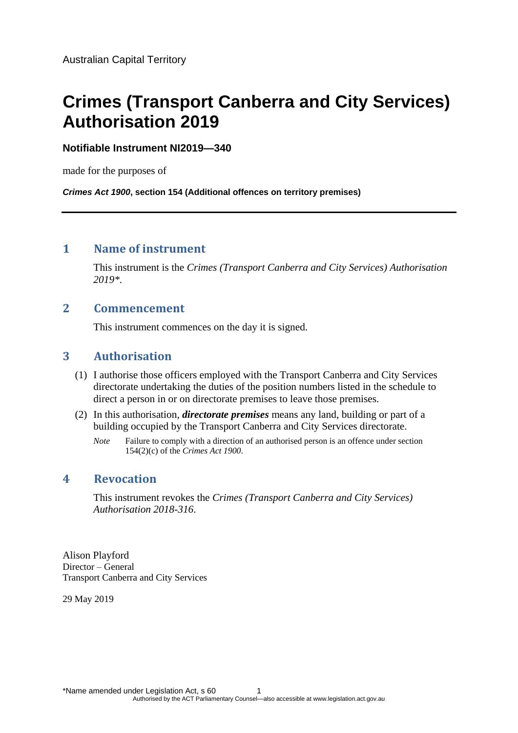# **Crimes (Transport Canberra and City Services) Authorisation 2019**

#### **Notifiable Instrument NI2019—340**

made for the purposes of

*Crimes Act 1900***, section 154 (Additional offences on territory premises)**

# **1 Name of instrument**

This instrument is the *Crimes (Transport Canberra and City Services) Authorisation 2019\**.

## **2 Commencement**

This instrument commences on the day it is signed.

# **3 Authorisation**

- (1) I authorise those officers employed with the Transport Canberra and City Services directorate undertaking the duties of the position numbers listed in the schedule to direct a person in or on directorate premises to leave those premises.
- (2) In this authorisation, *directorate premises* means any land, building or part of a building occupied by the Transport Canberra and City Services directorate.
	- *Note* Failure to comply with a direction of an authorised person is an offence under section 154(2)(c) of the *Crimes Act 1900*.

#### **4 Revocation**

This instrument revokes the *Crimes (Transport Canberra and City Services) Authorisation 2018-316*.

Alison Playford Director – General Transport Canberra and City Services

29 May 2019